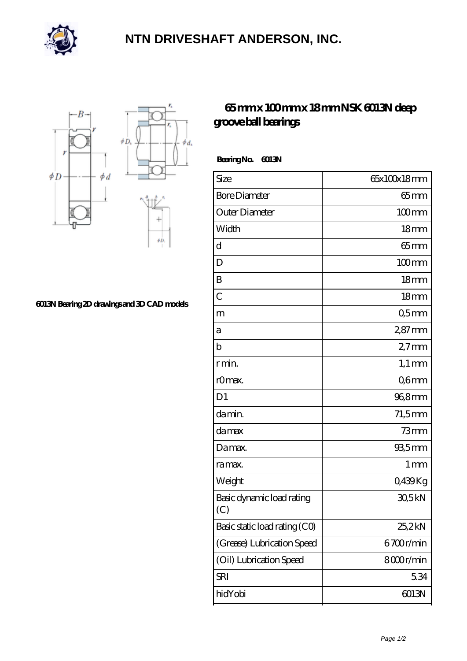

## **[NTN DRIVESHAFT ANDERSON, INC.](https://m.flash-igre.net)**



## **[6013N Bearing 2D drawings and 3D CAD models](https://m.flash-igre.net/pic-437271.html)**

## **[65 mm x 100 mm x 18 mm NSK 6013N deep](https://m.flash-igre.net/bd-437271-nsk-6013n-deep-groove-ball-bearings.html) [groove ball bearings](https://m.flash-igre.net/bd-437271-nsk-6013n-deep-groove-ball-bearings.html)**

 **Bearing No. 6013N**

| Size                             | 65x100x18mm         |
|----------------------------------|---------------------|
| <b>Bore Diameter</b>             | $65 \text{mm}$      |
| Outer Diameter                   | $100$ <sub>mm</sub> |
| Width                            | 18 <sub>mm</sub>    |
| d                                | $65$ mm             |
| D                                | $100$ mm            |
| B                                | 18 <sub>mm</sub>    |
| $\overline{C}$                   | 18 <sub>mm</sub>    |
| m                                | Q5mm                |
| а                                | $287$ mm            |
| b                                | $27$ mm             |
| r min.                           | $1,1 \text{ mm}$    |
| r0max.                           | Q6mm                |
| D <sub>1</sub>                   | 96,8mm              |
| da min.                          | $71,5$ mm           |
| da max                           | $73$ mm             |
| Damax.                           | $935$ mm            |
| ra max.                          | $1 \,\mathrm{mm}$   |
| Weight                           | 0,439Kg             |
| Basic dynamic load rating<br>(C) | 30,5kN              |
| Basic static load rating (CO)    | 25,2kN              |
| (Grease) Lubrication Speed       | 6700r/min           |
| (Oil) Lubrication Speed          | 8000r/min           |
| SRI                              | 5.34                |
| hidYobi                          | 6013N               |